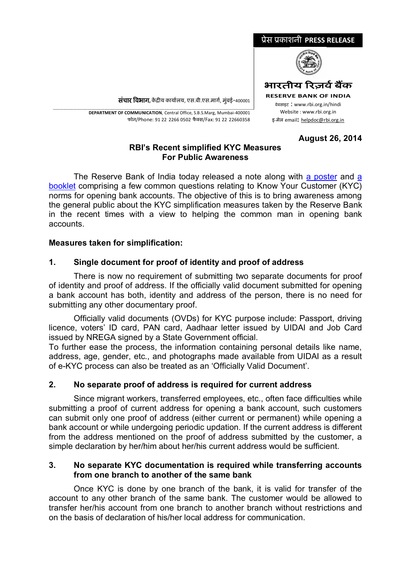

संचार विभाग, केंद्रीय कार्यालय, एस.बी.एस.मार्ग, मुंबई-400001

\_\_\_\_\_\_\_\_\_\_\_\_\_\_\_\_\_\_\_\_\_\_\_\_\_\_\_\_\_\_\_\_\_\_\_\_\_\_\_\_\_\_\_\_\_\_\_\_\_\_\_\_\_\_\_\_\_\_\_\_\_\_\_\_\_\_\_\_\_\_\_\_\_\_\_\_\_\_\_\_\_\_\_\_\_\_\_\_\_\_\_\_\_\_\_\_\_\_\_\_\_\_\_\_\_\_\_\_\_\_\_\_\_\_\_\_\_ **DEPARTMENT OF COMMUNICATION**, Central Office, S.B.S.Marg, Mumbai-400001 फोन/Phone: 91 22 2266 0502 फै Èस/Fax: 91 22 22660358

#### **August 26, 2014**

## **RBI's Recent simplified KYC Measures For Public Awareness**

The Reserve Bank of India today released a note along with [a poster a](http://rbidocs.rbi.org.in/rdocs/content/pdfs/IEPR410K0814_P.pdf)nd [a](http://rbidocs.rbi.org.in/rdocs/content/pdfs/IEPR410K0814_B.pdf) [booklet c](http://rbidocs.rbi.org.in/rdocs/content/pdfs/IEPR410K0814_B.pdf)omprising a few common questions relating to Know Your Customer (KYC) norms for opening bank accounts. The objective of this is to bring awareness among the general public about the KYC simplification measures taken by the Reserve Bank in the recent times with a view to helping the common man in opening bank accounts.

## **Measures taken for simplification:**

# **1. Single document for proof of identity and proof of address**

There is now no requirement of submitting two separate documents for proof of identity and proof of address. If the officially valid document submitted for opening a bank account has both, identity and address of the person, there is no need for submitting any other documentary proof.

Officially valid documents (OVDs) for KYC purpose include: Passport, driving licence, voters' ID card, PAN card, Aadhaar letter issued by UIDAI and Job Card issued by NREGA signed by a State Government official.

To further ease the process, the information containing personal details like name, address, age, gender, etc., and photographs made available from UIDAI as a result of e-KYC process can also be treated as an 'Officially Valid Document'.

# **2. No separate proof of address is required for current address**

Since migrant workers, transferred employees, etc., often face difficulties while submitting a proof of current address for opening a bank account, such customers can submit only one proof of address (either current or permanent) while opening a bank account or while undergoing periodic updation. If the current address is different from the address mentioned on the proof of address submitted by the customer, a simple declaration by her/him about her/his current address would be sufficient.

### **3. No separate KYC documentation is required while transferring accounts from one branch to another of the same bank**

Once KYC is done by one branch of the bank, it is valid for transfer of the account to any other branch of the same bank. The customer would be allowed to transfer her/his account from one branch to another branch without restrictions and on the basis of declaration of his/her local address for communication.